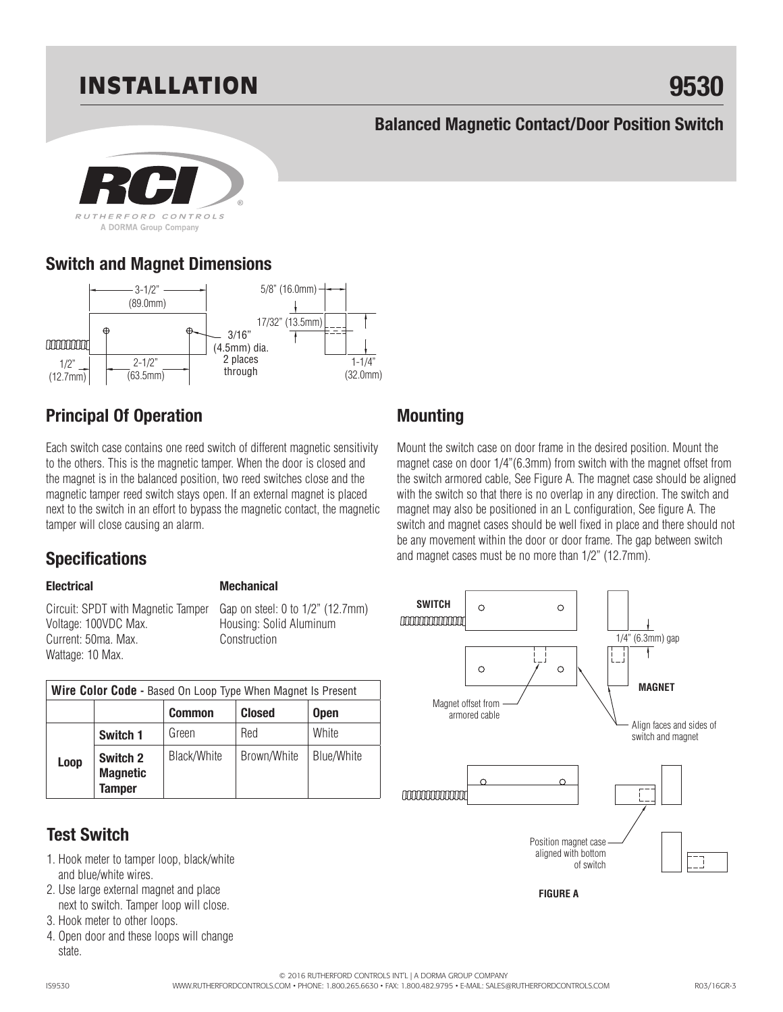# INSTALLATION **9530**

#### **Balanced Magnetic Contact/Door Position Switch**



### **Switch and Magnet Dimensions**



## **Principal Of Operation**

Each switch case contains one reed switch of different magnetic sensitivity to the others. This is the magnetic tamper. When the door is closed and the magnet is in the balanced position, two reed switches close and the magnetic tamper reed switch stays open. If an external magnet is placed next to the switch in an effort to bypass the magnetic contact, the magnetic tamper will close causing an alarm.

### **Specifications**

#### **Electrical**

**Mechanical**

Circuit: SPDT with Magnetic Tamper Voltage: 100VDC Max. Current: 50ma. Max. Wattage: 10 Max.

Gap on steel: 0 to 1/2" (12.7mm) Housing: Solid Aluminum Construction

| <b>Wire Color Code - Based On Loop Type When Magnet Is Present</b> |                                              |               |               |                   |  |  |
|--------------------------------------------------------------------|----------------------------------------------|---------------|---------------|-------------------|--|--|
|                                                                    |                                              | <b>Common</b> | <b>Closed</b> | <b>Open</b>       |  |  |
| Loop                                                               | Switch 1                                     | Green         | Red           | White             |  |  |
|                                                                    | Switch 2<br><b>Magnetic</b><br><b>Tamper</b> | Black/White   | Brown/White   | <b>Blue/White</b> |  |  |

### **Test Switch**

- and blue/white wires. 1. Hook meter to tamper loop, black/white
- 2. Use large external magnet and place next to switch. Tamper loop will close.
- 3. Hook meter to other loops.
- 4. Open door and these loops will change state.

### **Mounting**

Mount the switch case on door frame in the desired position. Mount the magnet case on door 1/4"(6.3mm) from switch with the magnet offset from the switch armored cable, See Figure A. The magnet case should be aligned with the switch so that there is no overlap in any direction. The switch and magnet may also be positioned in an L configuration, See figure A. The switch and magnet cases should be well fixed in place and there should not be any movement within the door or door frame. The gap between switch and magnet cases must be no more than 1/2" (12.7mm).